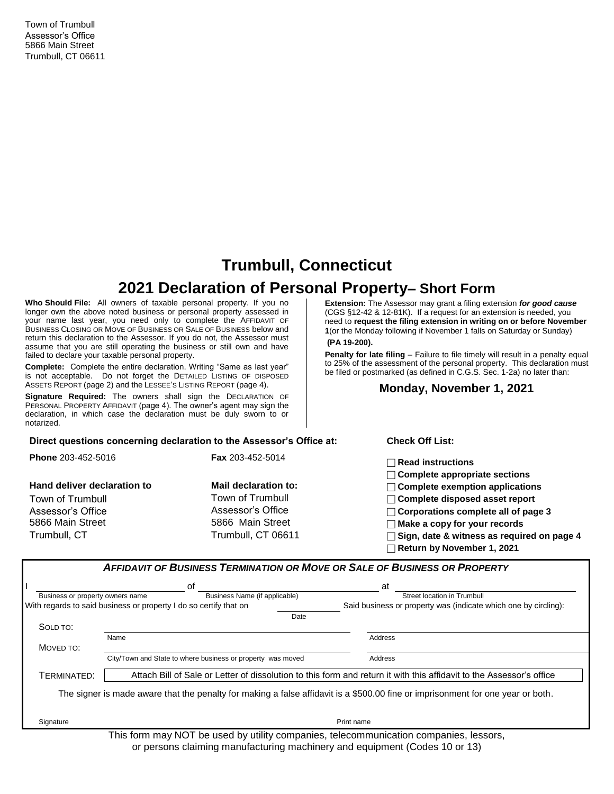Town of Trumbull Assessor's Office 5866 Main Street Trumbull, CT 06611

# **Trumbull, Connecticut**

# **2021 Declaration of Personal Property– Short Form**

**Who Should File:** All owners of taxable personal property. If you no longer own the above noted business or personal property assessed in your name last year, you need only to complete the AFFIDAVIT OF BUSINESS CLOSING OR MOVE OF BUSINESS OR SALE OF BUSINESS below and return this declaration to the Assessor. If you do not, the Assessor must assume that you are still operating the business or still own and have failed to declare your taxable personal property.

**Complete:** Complete the entire declaration. Writing "Same as last year" is not acceptable. Do not forget the DETAILED LISTING OF DISPOSED ASSETS REPORT (page 2) and the LESSEE'S LISTING REPORT (page 4).

**Signature Required:** The owners shall sign the DECLARATION OF PERSONAL PROPERTY AFFIDAVIT (page 4). The owner's agent may sign the declaration, in which case the declaration must be duly sworn to or notarized.

**Extension:** The Assessor may grant a filing extension *for good cause* (CGS §12-42 & 12-81K). If a request for an extension is needed, you need to **request the filing extension in writing on or before November 1**(or the Monday following if November 1 falls on Saturday or Sunday)

## **(PA 19-200).**

**Penalty for late filing** – Failure to file timely will result in a penalty equal to 25% of the assessment of the personal property. This declaration must be filed or postmarked (as defined in C.G.S. Sec. 1-2a) no later than:

### **Monday, November 1, 2021**

#### **Direct questions concerning declaration to the Assessor's Office at: Check Off List:**

| <b>Phone 203-452-5016</b>             | <b>Fax</b> 203-452-5014                | $\sqcap$ Read instructions                                                                                                       |
|---------------------------------------|----------------------------------------|----------------------------------------------------------------------------------------------------------------------------------|
| Hand deliver declaration to           | Mail declaration to:                   | $\Box$ Complete appropriate sections<br>$\Box$ Complete exemption applications                                                   |
| Town of Trumbull<br>Assessor's Office | Town of Trumbull<br>Assessor's Office  | $\Box$ Complete disposed asset report<br>$\Box$ Corporations complete all of page 3                                              |
| 5866 Main Street<br>Trumbull, CT      | 5866 Main Street<br>Trumbull, CT 06611 | $\exists$ Make a copy for your records<br>$\Box$ Sign, date & witness as required on page 4<br>$\Box$ Return by November 1, 2021 |

|                                  | οf                                                                | at                                                                                                                              |
|----------------------------------|-------------------------------------------------------------------|---------------------------------------------------------------------------------------------------------------------------------|
| Business or property owners name | Business Name (if applicable)                                     | Street location in Trumbull                                                                                                     |
|                                  | With regards to said business or property I do so certify that on | Said business or property was (indicate which one by circling):                                                                 |
|                                  |                                                                   | Date                                                                                                                            |
| SOLD TO:                         |                                                                   |                                                                                                                                 |
|                                  | Name                                                              | Address                                                                                                                         |
| MOVED TO:                        |                                                                   |                                                                                                                                 |
|                                  | City/Town and State to where business or property was moved       | Address                                                                                                                         |
| TERMINATED:                      |                                                                   | Attach Bill of Sale or Letter of dissolution to this form and return it with this affidavit to the Assessor's office            |
|                                  |                                                                   | The signer is made aware that the penalty for making a false affidavit is a \$500.00 fine or imprisonment for one year or both. |
|                                  |                                                                   |                                                                                                                                 |

This form may NOT be used by utility companies, telecommunication companies, lessors, or persons claiming manufacturing machinery and equipment (Codes 10 or 13)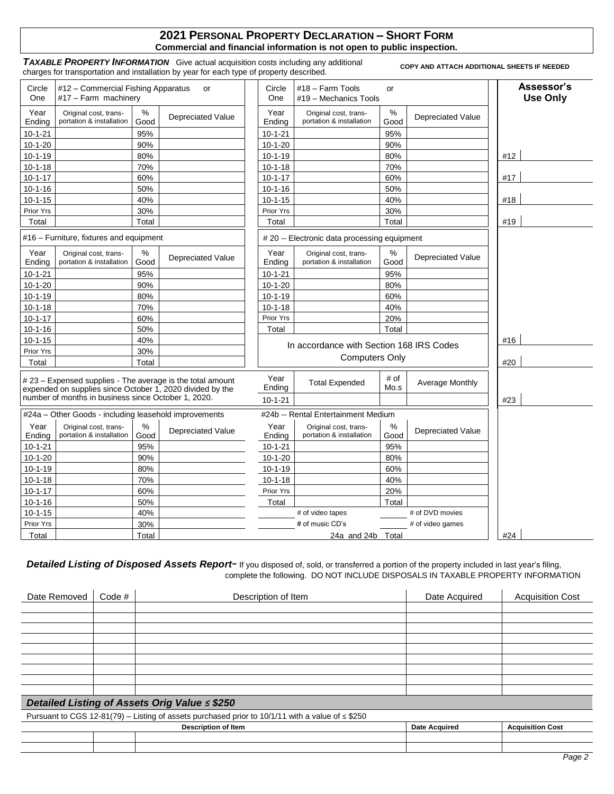#### **2021 PERSONAL PROPERTY DECLARATION – SHORT FORM Commercial and financial information is not open to public inspection.**

*TAXABLE PROPERTY INFORMATION*Give actual acquisition costs including any additional charges for transportation and installation by year for each type of property described. **COPY AND ATTACH ADDITIONAL SHEETS IF NEEDED** 

| Circle<br>One  | #12 – Commercial Fishing Apparatus<br>#17 - Farm machinery                                                              |              | or                       | Circle<br>One  | $#18 - Farm$ Tools<br>#19 - Mechanics Tools       | or           |                          | Assessor's<br><b>Use Only</b> |
|----------------|-------------------------------------------------------------------------------------------------------------------------|--------------|--------------------------|----------------|---------------------------------------------------|--------------|--------------------------|-------------------------------|
| Year<br>Ending | Original cost, trans-<br>portation & installation                                                                       | %<br>Good    | <b>Depreciated Value</b> | Year<br>Ending | Original cost, trans-<br>portation & installation | $\%$<br>Good | <b>Depreciated Value</b> |                               |
| $10 - 1 - 21$  |                                                                                                                         | 95%          |                          | $10 - 1 - 21$  |                                                   | 95%          |                          |                               |
| $10-1-20$      |                                                                                                                         | 90%          |                          | $10-1-20$      |                                                   | 90%          |                          |                               |
| $10 - 1 - 19$  |                                                                                                                         | 80%          |                          | $10 - 1 - 19$  |                                                   | 80%          |                          | #12                           |
| $10 - 1 - 18$  |                                                                                                                         | 70%          |                          | $10 - 1 - 18$  |                                                   | 70%          |                          |                               |
| $10 - 1 - 17$  |                                                                                                                         | 60%          |                          | $10 - 1 - 17$  |                                                   | 60%          |                          | #17                           |
| $10 - 1 - 16$  |                                                                                                                         | 50%          |                          | $10 - 1 - 16$  |                                                   | 50%          |                          |                               |
| $10 - 1 - 15$  |                                                                                                                         | 40%          |                          | $10 - 1 - 15$  |                                                   | 40%          |                          | #18                           |
| Prior Yrs      |                                                                                                                         | 30%          |                          | Prior Yrs      |                                                   | 30%          |                          |                               |
| Total          |                                                                                                                         | Total        |                          | Total          |                                                   | Total        |                          | #19                           |
|                | #16 – Furniture, fixtures and equipment                                                                                 |              |                          |                | # 20 - Electronic data processing equipment       |              |                          |                               |
| Year<br>Ending | Original cost, trans-<br>portation & installation                                                                       | %<br>Good    | <b>Depreciated Value</b> | Year<br>Ending | Original cost, trans-<br>portation & installation | ℅<br>Good    | <b>Depreciated Value</b> |                               |
| $10 - 1 - 21$  |                                                                                                                         | 95%          |                          | $10 - 1 - 21$  |                                                   | 95%          |                          |                               |
| $10-1-20$      |                                                                                                                         | 90%          |                          | $10-1-20$      |                                                   | 80%          |                          |                               |
| $10 - 1 - 19$  |                                                                                                                         | 80%          |                          | $10 - 1 - 19$  |                                                   | 60%          |                          |                               |
| $10 - 1 - 18$  |                                                                                                                         | 70%          |                          | $10 - 1 - 18$  |                                                   | 40%          |                          |                               |
| $10 - 1 - 17$  |                                                                                                                         | 60%          |                          | Prior Yrs      |                                                   | 20%          |                          |                               |
| $10 - 1 - 16$  |                                                                                                                         | 50%          |                          | Total          |                                                   | Total        |                          |                               |
| $10 - 1 - 15$  |                                                                                                                         | 40%          |                          |                | In accordance with Section 168 IRS Codes          |              |                          | #16                           |
| Prior Yrs      |                                                                                                                         | 30%          |                          |                | <b>Computers Only</b>                             |              |                          |                               |
| Total          |                                                                                                                         | Total        |                          |                |                                                   |              |                          | #20                           |
|                | # 23 – Expensed supplies - The average is the total amount<br>expended on supplies since October 1, 2020 divided by the |              |                          | Year<br>Ending | <b>Total Expended</b>                             | # of<br>Mo.s | Average Monthly          |                               |
|                | number of months in business since October 1, 2020.                                                                     |              |                          | $10 - 1 - 21$  |                                                   |              |                          | #23                           |
|                | #24a - Other Goods - including leasehold improvements                                                                   |              |                          |                | #24b -- Rental Entertainment Medium               |              |                          |                               |
| Year<br>Ending | Original cost, trans-<br>portation & installation                                                                       | $\%$<br>Good | <b>Depreciated Value</b> | Year<br>Ending | Original cost, trans-<br>portation & installation | %<br>Good    | <b>Depreciated Value</b> |                               |
| $10 - 1 - 21$  |                                                                                                                         | 95%          |                          | $10 - 1 - 21$  |                                                   | 95%          |                          |                               |
| $10 - 1 - 20$  |                                                                                                                         | 90%          |                          | $10 - 1 - 20$  |                                                   | 80%          |                          |                               |
| $10 - 1 - 19$  |                                                                                                                         | 80%          |                          | $10 - 1 - 19$  |                                                   | 60%          |                          |                               |
| $10-1-18$      |                                                                                                                         | 70%          |                          | $10 - 1 - 18$  |                                                   | 40%          |                          |                               |
| $10 - 1 - 17$  |                                                                                                                         | 60%          |                          | Prior Yrs      |                                                   | 20%          |                          |                               |
| $10 - 1 - 16$  |                                                                                                                         | 50%          |                          | Total          |                                                   | Total        |                          |                               |
| $10 - 1 - 15$  |                                                                                                                         | 40%          |                          |                | # of video tapes                                  |              | # of DVD movies          |                               |
| Prior Yrs      |                                                                                                                         | 30%          |                          |                | # of music CD's                                   |              | # of video games         |                               |
| Total          |                                                                                                                         | Total        |                          |                | 24a and 24b Total                                 |              |                          | #24                           |

Detailed Listing of Disposed Assets Report- If you disposed of, sold, or transferred a portion of the property included in last year's filing, complete the following. DO NOT INCLUDE DISPOSALS IN TAXABLE PROPERTY INFORMATION

| Date Removed | Code $#$ | Description of Item                                                                                   | Date Acquired        | <b>Acquisition Cost</b> |
|--------------|----------|-------------------------------------------------------------------------------------------------------|----------------------|-------------------------|
|              |          |                                                                                                       |                      |                         |
|              |          |                                                                                                       |                      |                         |
|              |          |                                                                                                       |                      |                         |
|              |          |                                                                                                       |                      |                         |
|              |          |                                                                                                       |                      |                         |
|              |          |                                                                                                       |                      |                         |
|              |          |                                                                                                       |                      |                         |
|              |          |                                                                                                       |                      |                         |
|              |          |                                                                                                       |                      |                         |
|              |          | Detailed Listing of Assets Orig Value ≤ \$250                                                         |                      |                         |
|              |          | Pursuant to CGS 12-81(79) – Listing of assets purchased prior to 10/1/11 with a value of $\leq$ \$250 |                      |                         |
|              |          | <b>Description of Item</b>                                                                            | <b>Date Acquired</b> | <b>Acquisition Cost</b> |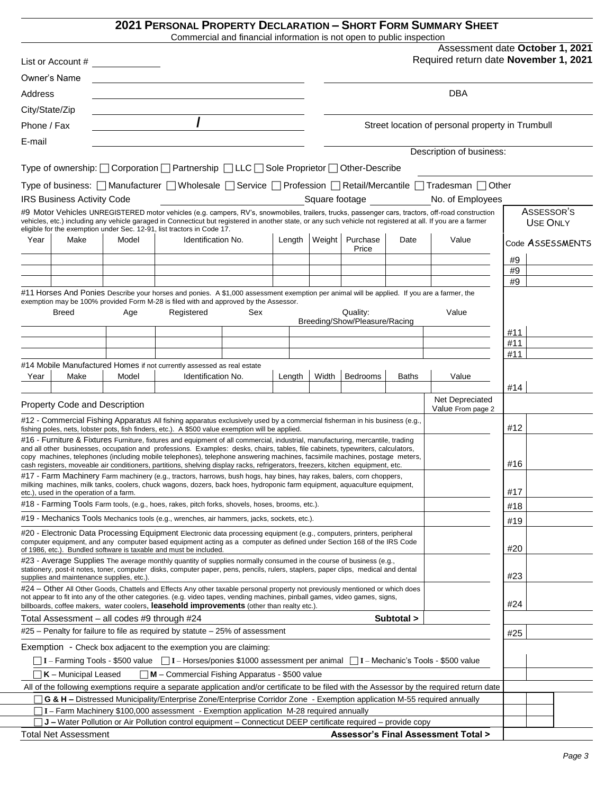### **2021 PERSONAL PROPERTY DECLARATION – SHORT FORM SUMMARY SHEET**

Commercial and financial information is not open to public inspection

|                |                                             |       | Commercial and infancial information is not open to public inspection                                                                                                                                                                                                                                                                                     |     |        |        |                                      |              |                                                                                                                                                   |            |                                 |
|----------------|---------------------------------------------|-------|-----------------------------------------------------------------------------------------------------------------------------------------------------------------------------------------------------------------------------------------------------------------------------------------------------------------------------------------------------------|-----|--------|--------|--------------------------------------|--------------|---------------------------------------------------------------------------------------------------------------------------------------------------|------------|---------------------------------|
|                |                                             |       |                                                                                                                                                                                                                                                                                                                                                           |     |        |        |                                      |              | Required return date November 1, 2021                                                                                                             |            | Assessment date October 1, 2021 |
|                | Owner's Name                                |       |                                                                                                                                                                                                                                                                                                                                                           |     |        |        |                                      |              |                                                                                                                                                   |            |                                 |
| Address        |                                             |       |                                                                                                                                                                                                                                                                                                                                                           |     |        |        |                                      |              | <b>DBA</b>                                                                                                                                        |            |                                 |
| City/State/Zip |                                             |       | <u> 1980 - Johann Stoff, fransk politik (d. 1980)</u>                                                                                                                                                                                                                                                                                                     |     |        |        |                                      |              |                                                                                                                                                   |            |                                 |
| Phone / Fax    |                                             |       |                                                                                                                                                                                                                                                                                                                                                           |     |        |        |                                      |              | Street location of personal property in Trumbull                                                                                                  |            |                                 |
|                |                                             |       |                                                                                                                                                                                                                                                                                                                                                           |     |        |        |                                      |              |                                                                                                                                                   |            |                                 |
| E-mail         |                                             |       |                                                                                                                                                                                                                                                                                                                                                           |     |        |        |                                      |              | Description of business:                                                                                                                          |            |                                 |
|                |                                             |       | Type of ownership: □ Corporation □ Partnership □ LLC □ Sole Proprietor □ Other-Describe                                                                                                                                                                                                                                                                   |     |        |        |                                      |              |                                                                                                                                                   |            |                                 |
|                |                                             |       |                                                                                                                                                                                                                                                                                                                                                           |     |        |        |                                      |              |                                                                                                                                                   |            |                                 |
|                |                                             |       |                                                                                                                                                                                                                                                                                                                                                           |     |        |        |                                      |              | Type of business:   Manufacturer   Wholesale   Service   Profession   Retail/Mercantile   Tradesman   Other                                       |            |                                 |
|                | IRS Business Activity Code                  |       |                                                                                                                                                                                                                                                                                                                                                           |     |        |        | Square footage <b>Square</b> footage |              | No. of Employees                                                                                                                                  |            |                                 |
|                |                                             |       | vehicles, etc.) including any vehicle garaged in Connecticut but registered in another state, or any such vehicle not registered at all. If you are a farmer                                                                                                                                                                                              |     |        |        |                                      |              | #9 Motor Vehicles UNREGISTERED motor vehicles (e.g. campers, RV's, snowmobiles, trailers, trucks, passenger cars, tractors, off-road construction |            | ASSESSOR'S<br><b>USE ONLY</b>   |
|                |                                             |       | eligible for the exemption under Sec. 12-91, list tractors in Code 17.                                                                                                                                                                                                                                                                                    |     |        |        |                                      |              |                                                                                                                                                   |            |                                 |
| Year           | Make                                        | Model | Identification No.                                                                                                                                                                                                                                                                                                                                        |     | Length | Weight | Purchase<br>Price                    | Date         | Value                                                                                                                                             |            | Code ASSESSMENTS                |
|                |                                             |       |                                                                                                                                                                                                                                                                                                                                                           |     |        |        |                                      |              |                                                                                                                                                   | #9         |                                 |
|                |                                             |       |                                                                                                                                                                                                                                                                                                                                                           |     |        |        |                                      |              |                                                                                                                                                   | #9         |                                 |
|                |                                             |       |                                                                                                                                                                                                                                                                                                                                                           |     |        |        |                                      |              |                                                                                                                                                   | #9         |                                 |
|                |                                             |       | #11 Horses And Ponies Describe your horses and ponies. A \$1,000 assessment exemption per animal will be applied. If you are a farmer, the<br>exemption may be 100% provided Form M-28 is filed with and approved by the Assessor.                                                                                                                        |     |        |        |                                      |              |                                                                                                                                                   |            |                                 |
|                | <b>Breed</b>                                | Age   | Registered                                                                                                                                                                                                                                                                                                                                                | Sex |        |        | Quality:                             |              | Value                                                                                                                                             |            |                                 |
|                |                                             |       |                                                                                                                                                                                                                                                                                                                                                           |     |        |        | Breeding/Show/Pleasure/Racing        |              |                                                                                                                                                   |            |                                 |
|                |                                             |       |                                                                                                                                                                                                                                                                                                                                                           |     |        |        |                                      |              |                                                                                                                                                   | #11        |                                 |
|                |                                             |       |                                                                                                                                                                                                                                                                                                                                                           |     |        |        |                                      |              |                                                                                                                                                   | #11<br>#11 |                                 |
|                |                                             |       | #14 Mobile Manufactured Homes if not currently assessed as real estate                                                                                                                                                                                                                                                                                    |     |        |        |                                      |              |                                                                                                                                                   |            |                                 |
| Year           | Make                                        | Model | Identification No.                                                                                                                                                                                                                                                                                                                                        |     | Length | Width  | Bedrooms                             | <b>Baths</b> | Value                                                                                                                                             | #14        |                                 |
|                | Property Code and Description               |       |                                                                                                                                                                                                                                                                                                                                                           |     |        |        |                                      |              | Net Depreciated<br>Value From page 2                                                                                                              |            |                                 |
|                |                                             |       | #12 - Commercial Fishing Apparatus All fishing apparatus exclusively used by a commercial fisherman in his business (e.g.,                                                                                                                                                                                                                                |     |        |        |                                      |              |                                                                                                                                                   |            |                                 |
|                |                                             |       | fishing poles, nets, lobster pots, fish finders, etc.). A \$500 value exemption will be applied.                                                                                                                                                                                                                                                          |     |        |        |                                      |              |                                                                                                                                                   | #12        |                                 |
|                |                                             |       | #16 - Furniture & Fixtures Furniture, fixtures and equipment of all commercial, industrial, manufacturing, mercantile, trading<br>and all other businesses, occupation and professions. Examples: desks, chairs, tables, file cabinets, typewriters, calculators,                                                                                         |     |        |        |                                      |              |                                                                                                                                                   |            |                                 |
|                |                                             |       | copy machines, telephones (including mobile telephones), telephone answering machines, facsimile machines, postage meters,<br>cash registers, moveable air conditioners, partitions, shelving display racks, refrigerators, freezers, kitchen equipment, etc.                                                                                             |     |        |        |                                      |              |                                                                                                                                                   | #16        |                                 |
|                |                                             |       | #17 - Farm Machinery Farm machinery (e.g., tractors, harrows, bush hogs, hay bines, hay rakes, balers, corn choppers,                                                                                                                                                                                                                                     |     |        |        |                                      |              |                                                                                                                                                   |            |                                 |
|                |                                             |       | milking machines, milk tanks, coolers, chuck wagons, dozers, back hoes, hydroponic farm equipment, aquaculture equipment,                                                                                                                                                                                                                                 |     |        |        |                                      |              |                                                                                                                                                   | #17        |                                 |
|                | etc.), used in the operation of a farm.     |       | #18 - Farming Tools Farm tools, (e.g., hoes, rakes, pitch forks, shovels, hoses, brooms, etc.).                                                                                                                                                                                                                                                           |     |        |        |                                      |              |                                                                                                                                                   |            |                                 |
|                |                                             |       | #19 - Mechanics Tools Mechanics tools (e.g., wrenches, air hammers, jacks, sockets, etc.).                                                                                                                                                                                                                                                                |     |        |        |                                      |              |                                                                                                                                                   | #18        |                                 |
|                |                                             |       |                                                                                                                                                                                                                                                                                                                                                           |     |        |        |                                      |              |                                                                                                                                                   | #19        |                                 |
|                |                                             |       | #20 - Electronic Data Processing Equipment Electronic data processing equipment (e.g., computers, printers, peripheral<br>computer equipment, and any computer based equipment acting as a computer as defined under Section 168 of the IRS Code<br>of 1986, etc.). Bundled software is taxable and must be included.                                     |     |        |        |                                      |              |                                                                                                                                                   | #20        |                                 |
|                | supplies and maintenance supplies, etc.)    |       | #23 - Average Supplies The average monthly quantity of supplies normally consumed in the course of business (e.g.,<br>stationery, post-it notes, toner, computer disks, computer paper, pens, pencils, rulers, staplers, paper clips, medical and dental                                                                                                  |     |        |        |                                      |              |                                                                                                                                                   | #23        |                                 |
|                |                                             |       | #24 – Other All Other Goods, Chattels and Effects Any other taxable personal property not previously mentioned or which does<br>not appear to fit into any of the other categories. (e.g. video tapes, vending machines, pinball games, video games, signs,<br>billboards, coffee makers, water coolers, leasehold improvements (other than realty etc.). |     |        |        |                                      |              |                                                                                                                                                   | #24        |                                 |
|                | Total Assessment - all codes #9 through #24 |       |                                                                                                                                                                                                                                                                                                                                                           |     |        |        |                                      | Subtotal >   |                                                                                                                                                   |            |                                 |
|                |                                             |       | $#25$ – Penalty for failure to file as required by statute – 25% of assessment                                                                                                                                                                                                                                                                            |     |        |        |                                      |              |                                                                                                                                                   |            |                                 |
|                |                                             |       |                                                                                                                                                                                                                                                                                                                                                           |     |        |        |                                      |              |                                                                                                                                                   | #25        |                                 |
|                |                                             |       | Exemption - Check box adjacent to the exemption you are claiming:                                                                                                                                                                                                                                                                                         |     |        |        |                                      |              |                                                                                                                                                   |            |                                 |
|                |                                             |       |                                                                                                                                                                                                                                                                                                                                                           |     |        |        |                                      |              |                                                                                                                                                   |            |                                 |
|                | $K$ – Municipal Leased                      |       | $\n  M$ – Commercial Fishing Apparatus - \$500 value                                                                                                                                                                                                                                                                                                      |     |        |        |                                      |              |                                                                                                                                                   |            |                                 |
|                |                                             |       | G & H - Distressed Municipality/Enterprise Zone/Enterprise Corridor Zone - Exemption application M-55 required annually                                                                                                                                                                                                                                   |     |        |        |                                      |              | All of the following exemptions require a separate application and/or certificate to be filed with the Assessor by the required return date       |            |                                 |
|                |                                             |       | T I - Farm Machinery \$100,000 assessment - Exemption application M-28 required annually                                                                                                                                                                                                                                                                  |     |        |        |                                      |              |                                                                                                                                                   |            |                                 |
|                |                                             |       | J J – Water Pollution or Air Pollution control equipment – Connecticut DEEP certificate required – provide copy                                                                                                                                                                                                                                           |     |        |        |                                      |              |                                                                                                                                                   |            |                                 |
|                | <b>Total Net Assessment</b>                 |       |                                                                                                                                                                                                                                                                                                                                                           |     |        |        |                                      |              | Assessor's Final Assessment Total >                                                                                                               |            |                                 |